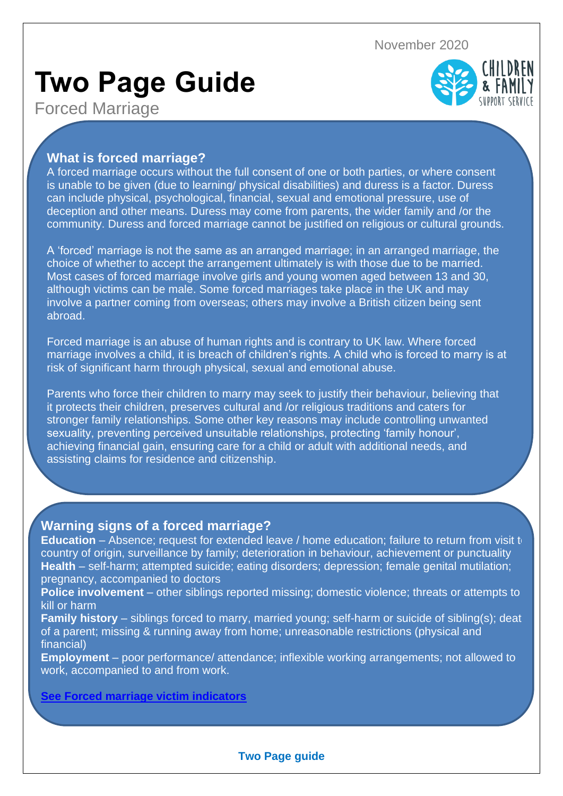November 2020

# **Two Page Guide**



Forced Marriage

## **What is forced marriage?**

A forced marriage occurs without the full consent of one or both parties, or where consent is unable to be given (due to learning/ physical disabilities) and duress is a factor. Duress can include physical, psychological, financial, sexual and emotional pressure, use of deception and other means. Duress may come from parents, the wider family and /or the community. Duress and forced marriage cannot be justified on religious or cultural grounds.

A 'forced' marriage is not the same as an arranged marriage; in an arranged marriage, the choice of whether to accept the arrangement ultimately is with those due to be married. Most cases of forced marriage involve girls and young women aged between 13 and 30, although victims can be male. Some forced marriages take place in the UK and may involve a partner coming from overseas; others may involve a British citizen being sent abroad.

Forced marriage is an abuse of human rights and is contrary to UK law. Where forced marriage involves a child, it is breach of children's rights. A child who is forced to marry is at risk of significant harm through physical, sexual and emotional abuse.

Parents who force their children to marry may seek to justify their behaviour, believing that it protects their children, preserves cultural and /or religious traditions and caters for stronger family relationships. Some other key reasons may include controlling unwanted sexuality, preventing perceived unsuitable relationships, protecting 'family honour', achieving financial gain, ensuring care for a child or adult with additional needs, and assisting claims for residence and citizenship.

# **Warning signs of a forced marriage?**

**Education** – Absence; request for extended leave / home education; failure to return from visit to country of origin, surveillance by family; deterioration in behaviour, achievement or punctuality **Health** – self-harm; attempted suicide; eating disorders; depression; female genital mutilation; pregnancy, accompanied to doctors

**Police involvement** – other siblings reported missing; domestic violence; threats or attempts to kill or harm

**Family history** – siblings forced to marry, married young; self-harm or suicide of sibling(s); deat of a parent; missing & running away from home; unreasonable restrictions (physical and financial)

**Employment** – poor performance/ attendance; inflexible working arrangements; not allowed to work, accompanied to and from work.

## **See [Forced marriage victim indicators](https://westmidlands.procedures.org.uk/assets/clients/6/Part%202/Forced%20marriage%20victim%20indicators.docx)**

#### **Two Page guide**